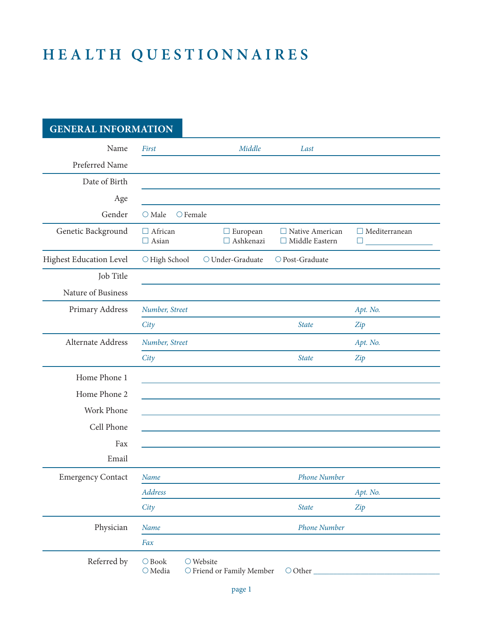# **Healt h Q u e s t i o n n a i r e s**

**general information**

| <u>UENEKAL INFUKWALIUN</u> |                                      |                                                 |                                                 |                                |
|----------------------------|--------------------------------------|-------------------------------------------------|-------------------------------------------------|--------------------------------|
| Name                       | First                                | Middle                                          | Last                                            |                                |
| Preferred Name             |                                      |                                                 |                                                 |                                |
| Date of Birth              |                                      |                                                 |                                                 |                                |
| Age                        |                                      |                                                 |                                                 |                                |
| Gender                     | $\bigcirc$ Male<br>$\bigcirc$ Female |                                                 |                                                 |                                |
| Genetic Background         | $\Box$ African<br>$\Box$ Asian       | $\Box$ European<br>$\Box$ Ashkenazi             | $\Box$ Native American<br>$\Box$ Middle Eastern | $\Box$ Mediterranean<br>$\Box$ |
| Highest Education Level    | O High School                        | $\bigcirc$ Under-Graduate                       | O Post-Graduate                                 |                                |
| Job Title                  |                                      |                                                 |                                                 |                                |
| Nature of Business         |                                      |                                                 |                                                 |                                |
| Primary Address            | Number, Street                       |                                                 |                                                 | Apt. No.                       |
|                            | City                                 |                                                 | <b>State</b>                                    | Zip                            |
| Alternate Address          | Number, Street                       |                                                 |                                                 | Apt. No.                       |
|                            | City                                 |                                                 | <b>State</b>                                    | Zip                            |
| Home Phone 1               |                                      |                                                 |                                                 |                                |
| Home Phone 2               |                                      |                                                 |                                                 |                                |
| Work Phone                 |                                      |                                                 |                                                 |                                |
| Cell Phone                 |                                      |                                                 |                                                 |                                |
| Fax                        |                                      |                                                 |                                                 |                                |
| Email                      |                                      |                                                 |                                                 |                                |
| <b>Emergency Contact</b>   | Name                                 |                                                 | <b>Phone Number</b>                             |                                |
|                            | Address                              |                                                 |                                                 | Apt. No.                       |
|                            | City                                 |                                                 | <b>State</b>                                    | Zip                            |
| Physician                  | Name                                 |                                                 | <b>Phone Number</b>                             |                                |
|                            | Fax                                  |                                                 |                                                 |                                |
| Referred by                | $\bigcirc$ Book<br>$\bigcirc$ Media  | $\bigcirc$ Website<br>O Friend or Family Member | O Other                                         |                                |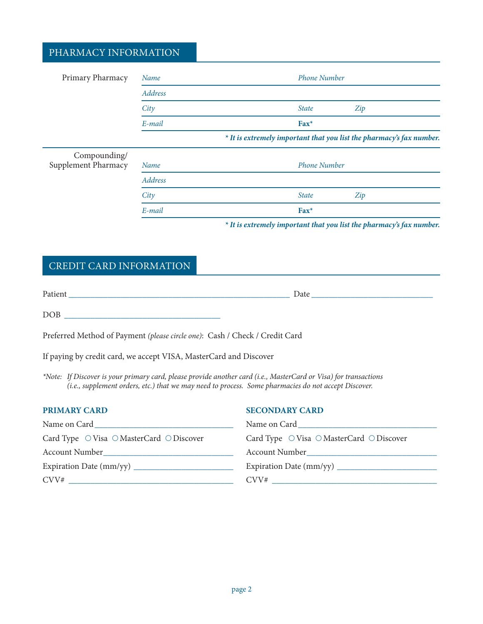## PHARMACY INFORMATION

| Primary Pharmacy                    | Name    | <b>Phone Number</b>                                                  |
|-------------------------------------|---------|----------------------------------------------------------------------|
|                                     | Address |                                                                      |
|                                     | City    | <b>State</b><br>Zip                                                  |
|                                     | E-mail  | $\text{Fax}^*$                                                       |
|                                     |         | * It is extremely important that you list the pharmacy's fax number. |
| Compounding/<br>Supplement Pharmacy | Name    | <b>Phone Number</b>                                                  |
|                                     | Address |                                                                      |
|                                     | City    | <b>State</b><br>Zip                                                  |
|                                     | E-mail  | $\text{Fax}^*$                                                       |
|                                     |         |                                                                      |

*\* It is extremely important that you list the pharmacy's fax number.*

# Credit Card Information

| Patient | Date |  |
|---------|------|--|
| DOB     |      |  |

Preferred Method of Payment *(please circle one)*: Cash / Check / Credit Card

If paying by credit card, we accept VISA, MasterCard and Discover

*\*Note: If Discover is your primary card, please provide another card (i.e., MasterCard or Visa) for transactions (i.e., supplement orders, etc.) that we may need to process. Some pharmacies do not accept Discover.*

| <b>PRIMARY CARD</b>                                                                                                                           | <b>SECONDARY CARD</b>                                                                                                                                                                                                         |
|-----------------------------------------------------------------------------------------------------------------------------------------------|-------------------------------------------------------------------------------------------------------------------------------------------------------------------------------------------------------------------------------|
| Name on Card<br><u> 1980 - Jan Sarah Barat, masjid a</u>                                                                                      | Name on Card and the state of the state of the state of the state of the state of the state of the state of the state of the state of the state of the state of the state of the state of the state of the state of the state |
| Card Type $\circlearrowright$ Visa $\circlearrowright$ MasterCard $\circlearrowright$ Discover                                                | Card Type $\circ$ Visa $\circ$ MasterCard $\circ$ Discover                                                                                                                                                                    |
| <b>Account Number</b><br><u> 1980 - Jan Stein Stein Stein Stein Stein Stein Stein Stein Stein Stein Stein Stein Stein Stein Stein Stein S</u> | Account Number                                                                                                                                                                                                                |
|                                                                                                                                               |                                                                                                                                                                                                                               |
| CVV#                                                                                                                                          |                                                                                                                                                                                                                               |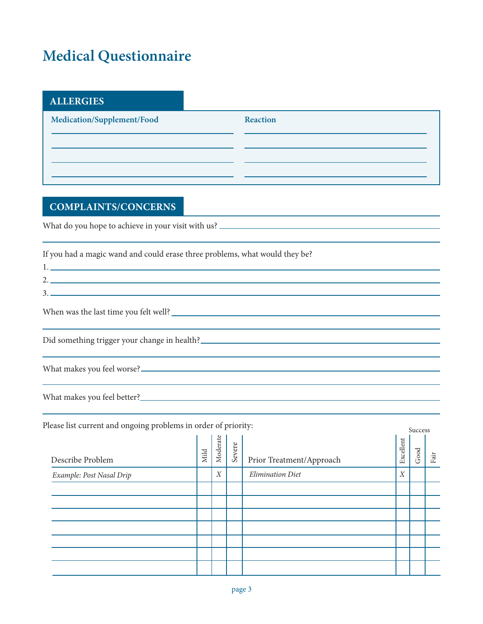# **Medical Questionnaire**

| <b>ALLERGIES</b>           |                 |
|----------------------------|-----------------|
| Medication/Supplement/Food | <b>Reaction</b> |
|                            |                 |
|                            |                 |
|                            |                 |

# **COMPLAINTS/CONCERNS**

What do you hope to achieve in your visit with us? \_\_\_\_\_\_\_\_\_\_\_\_\_\_\_\_\_\_\_\_\_\_\_\_\_\_\_\_\_\_

| If you had a magic wand and could erase three problems, what would they be? |
|-----------------------------------------------------------------------------|
|                                                                             |
| 2.                                                                          |
| $\begin{tabular}{c} 3. \end{tabular}$                                       |
| When was the last time you felt well?                                       |
|                                                                             |
|                                                                             |
|                                                                             |
|                                                                             |
|                                                                             |
| What makes you feel better?<br><u> </u>                                     |

Please list current and ongoing problems in order of priority:

| icase iist current and ongoing problems in order or priority. |      |                  | Success |                          |                  |      |      |
|---------------------------------------------------------------|------|------------------|---------|--------------------------|------------------|------|------|
| Describe Problem                                              | Mild | Moderate         | Severe  | Prior Treatment/Approach | Excellent        | Good | Fair |
| Example: Post Nasal Drip                                      |      | $\boldsymbol{X}$ |         | <b>Elimination Diet</b>  | $\boldsymbol{X}$ |      |      |
|                                                               |      |                  |         |                          |                  |      |      |
|                                                               |      |                  |         |                          |                  |      |      |
|                                                               |      |                  |         |                          |                  |      |      |
|                                                               |      |                  |         |                          |                  |      |      |
|                                                               |      |                  |         |                          |                  |      |      |
|                                                               |      |                  |         |                          |                  |      |      |
|                                                               |      |                  |         |                          |                  |      |      |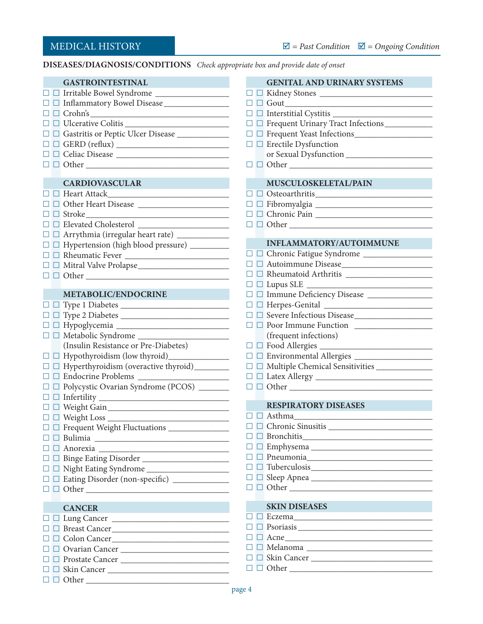**Diseases/Diagnosis/Conditions** *Check appropriate box and provide date of onset*

| <b>GASTROINTESTINAL</b>                                                                                                                                                                          | <b>GENITAL AND URINARY SYSTEMS</b>                                                                                                                                                                                                                                                                                                                                                                                                                   |
|--------------------------------------------------------------------------------------------------------------------------------------------------------------------------------------------------|------------------------------------------------------------------------------------------------------------------------------------------------------------------------------------------------------------------------------------------------------------------------------------------------------------------------------------------------------------------------------------------------------------------------------------------------------|
|                                                                                                                                                                                                  |                                                                                                                                                                                                                                                                                                                                                                                                                                                      |
|                                                                                                                                                                                                  | $\Box$ $\Box$ $\Box$ $\Box$                                                                                                                                                                                                                                                                                                                                                                                                                          |
| $\Box$ $\Box$ $\Box$ $\Box$ $\Box$                                                                                                                                                               | $\Box$ Interstitial Cystitis $\Box$                                                                                                                                                                                                                                                                                                                                                                                                                  |
| $\hfill \Box\hfill \Box\hfill \Box\hfill \Box$                                                                                                                                                   | □ □ Frequent Urinary Tract Infections                                                                                                                                                                                                                                                                                                                                                                                                                |
|                                                                                                                                                                                                  |                                                                                                                                                                                                                                                                                                                                                                                                                                                      |
|                                                                                                                                                                                                  | $\Box$ $\Box$ Erectile Dysfunction                                                                                                                                                                                                                                                                                                                                                                                                                   |
| $\hfill\Box\;\hfill\Box\;\hfill\Box$                                                                                                                                                             | or Sexual Dysfunction                                                                                                                                                                                                                                                                                                                                                                                                                                |
| $\Box$ $\Box$ $\Box$ $\Box$ $\Box$ $\Box$                                                                                                                                                        |                                                                                                                                                                                                                                                                                                                                                                                                                                                      |
|                                                                                                                                                                                                  |                                                                                                                                                                                                                                                                                                                                                                                                                                                      |
| <b>CARDIOVASCULAR</b><br><b>CONTRACTOR</b>                                                                                                                                                       | MUSCULOSKELETAL/PAIN                                                                                                                                                                                                                                                                                                                                                                                                                                 |
| □ <b>□ Heart Attack_________________________</b>                                                                                                                                                 | $\begin{tabular}{ c c c c } \hline \quad $\Box$ \end{tabular} \begin{tabular}{ c c c } \hline $\Box$ \end{tabular} \begin{tabular}{ c c c c } \hline $\Box$ \end{tabular} \begin{tabular}{ c c c c } \hline $\Box$ \end{tabular} \begin{tabular}{ c c c c } \hline $\Box$ \end{tabular} \begin{tabular}{ c c c c } \hline $\Box$ \end{tabular} \begin{tabular}{ c c c c } \hline $\Box$ \end{tabular} \begin{tabular}{ c c c c } \hline $\Box$ \end$ |
| $\hfill \Box$ $\hfill \Box$ $\hfill \Box$ $\hfill \Box$                                                                                                                                          |                                                                                                                                                                                                                                                                                                                                                                                                                                                      |
| $\begin{tabular}{ c c c } \hline \quad $\Box$ \quad \mbox{Stroke}\footnotesize \begin{tabular}{ c c c } \hline \quad $\Box$ \quad \mbox{Stroke}\footnotesize \end{tabular} \hline \end{tabular}$ | $\Box$ $\Box$ Chronic Pain $\_\_\_\_\_\_\_\_\_\_\_\_$                                                                                                                                                                                                                                                                                                                                                                                                |
|                                                                                                                                                                                                  |                                                                                                                                                                                                                                                                                                                                                                                                                                                      |
|                                                                                                                                                                                                  |                                                                                                                                                                                                                                                                                                                                                                                                                                                      |
| $\Box$ Hypertension (high blood pressure) _________                                                                                                                                              | <b>INFLAMMATORY/AUTOIMMUNE</b>                                                                                                                                                                                                                                                                                                                                                                                                                       |
| $\hfill \Box$ $\hfill \Box$ $\hfill \Box$ $\hfill \Box$                                                                                                                                          |                                                                                                                                                                                                                                                                                                                                                                                                                                                      |
| $\hfill \Box$ $\hfill \Box$ $\hfill \Box$ $\hfill \Box$                                                                                                                                          |                                                                                                                                                                                                                                                                                                                                                                                                                                                      |
|                                                                                                                                                                                                  |                                                                                                                                                                                                                                                                                                                                                                                                                                                      |
|                                                                                                                                                                                                  |                                                                                                                                                                                                                                                                                                                                                                                                                                                      |
| METABOLIC/ENDOCRINE                                                                                                                                                                              |                                                                                                                                                                                                                                                                                                                                                                                                                                                      |
| $\hfill \Box$<br>$\hfill \Box$<br>$\hfill \Box$<br>$\hfill \Box$                                                                                                                                 |                                                                                                                                                                                                                                                                                                                                                                                                                                                      |
| $\hfill \Box$<br>$\hfill \Box$<br>$\hfill \Box$<br>$\hfill \Box$                                                                                                                                 |                                                                                                                                                                                                                                                                                                                                                                                                                                                      |
|                                                                                                                                                                                                  |                                                                                                                                                                                                                                                                                                                                                                                                                                                      |
|                                                                                                                                                                                                  | (frequent infections)                                                                                                                                                                                                                                                                                                                                                                                                                                |
| (Insulin Resistance or Pre-Diabetes)                                                                                                                                                             | $\hfill \Box\hfill \Box\hfill \Box$                                                                                                                                                                                                                                                                                                                                                                                                                  |
|                                                                                                                                                                                                  |                                                                                                                                                                                                                                                                                                                                                                                                                                                      |
| $\Box$ Hyperthyroidism (overactive thyroid) ________                                                                                                                                             |                                                                                                                                                                                                                                                                                                                                                                                                                                                      |
| $\hfill \Box$ $\Box$ $\hfill$ Endocrine Problems                                                                                                                                                 |                                                                                                                                                                                                                                                                                                                                                                                                                                                      |
| □ □ Polycystic Ovarian Syndrome (PCOS) _______                                                                                                                                                   | $\Box$ $\Box$ $\Box$ $\Box$ $\Box$                                                                                                                                                                                                                                                                                                                                                                                                                   |
|                                                                                                                                                                                                  |                                                                                                                                                                                                                                                                                                                                                                                                                                                      |
|                                                                                                                                                                                                  | <b>RESPIRATORY DISEASES</b>                                                                                                                                                                                                                                                                                                                                                                                                                          |
| $\hfill \Box\hfill \Box\hfill \text{Weight Loss}\hfill \underline{\hfill \Box\hfill \text{} }$                                                                                                   |                                                                                                                                                                                                                                                                                                                                                                                                                                                      |
|                                                                                                                                                                                                  | O Chronic Sinusitis                                                                                                                                                                                                                                                                                                                                                                                                                                  |
| $\Box$ Bulimia $\Box$                                                                                                                                                                            | $\Box$ Bronchitis                                                                                                                                                                                                                                                                                                                                                                                                                                    |
|                                                                                                                                                                                                  |                                                                                                                                                                                                                                                                                                                                                                                                                                                      |
|                                                                                                                                                                                                  | $\Box$ Pneumonia                                                                                                                                                                                                                                                                                                                                                                                                                                     |
|                                                                                                                                                                                                  | $\Box\ \Box\ \text{Tuberculosis}\_$                                                                                                                                                                                                                                                                                                                                                                                                                  |
| □ □ Eating Disorder (non-specific) ____________                                                                                                                                                  |                                                                                                                                                                                                                                                                                                                                                                                                                                                      |
| $\Box$ $\Box$ $\Box$ $\Box$ $\Box$                                                                                                                                                               | $\Box$ $\Box$ Other                                                                                                                                                                                                                                                                                                                                                                                                                                  |
|                                                                                                                                                                                                  | <b>SKIN DISEASES</b>                                                                                                                                                                                                                                                                                                                                                                                                                                 |
| <b>CANCER</b><br>$\mathcal{L}^{\text{max}}_{\text{max}}$ and $\mathcal{L}^{\text{max}}_{\text{max}}$ and $\mathcal{L}^{\text{max}}_{\text{max}}$                                                 |                                                                                                                                                                                                                                                                                                                                                                                                                                                      |
| □ Lung Cancer                                                                                                                                                                                    | $\Box$ Psoriasis $\Box$                                                                                                                                                                                                                                                                                                                                                                                                                              |
|                                                                                                                                                                                                  | $\Box$ $\Box$ Acne                                                                                                                                                                                                                                                                                                                                                                                                                                   |
| Colon Cancer                                                                                                                                                                                     |                                                                                                                                                                                                                                                                                                                                                                                                                                                      |
| Ovarian Cancer                                                                                                                                                                                   | $\Box$ Skin Cancer                                                                                                                                                                                                                                                                                                                                                                                                                                   |
| Prostate Cancer                                                                                                                                                                                  | $\Box$ $\Box$ $\Box$ $\Box$ $\Box$                                                                                                                                                                                                                                                                                                                                                                                                                   |
|                                                                                                                                                                                                  |                                                                                                                                                                                                                                                                                                                                                                                                                                                      |
| $\Box$ $\Box$ $\Box$ $\Box$ $\Box$ $\Box$                                                                                                                                                        |                                                                                                                                                                                                                                                                                                                                                                                                                                                      |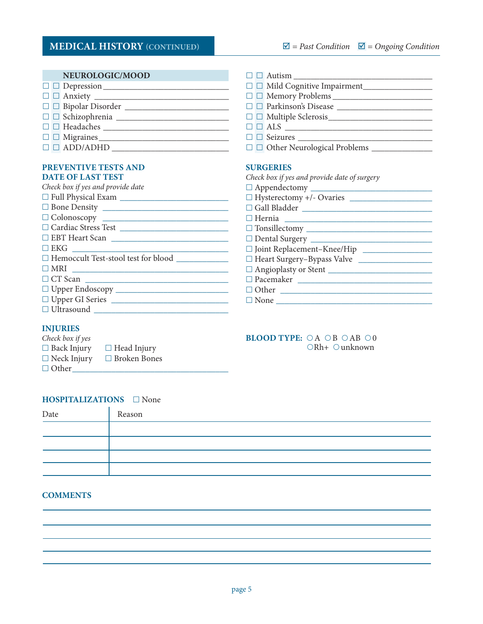| NEUROLOGIC/MOOD                                                                                                                                                                                                                                                                                                                                                                       | $\Box$ Autism                                                         |
|---------------------------------------------------------------------------------------------------------------------------------------------------------------------------------------------------------------------------------------------------------------------------------------------------------------------------------------------------------------------------------------|-----------------------------------------------------------------------|
|                                                                                                                                                                                                                                                                                                                                                                                       |                                                                       |
|                                                                                                                                                                                                                                                                                                                                                                                       |                                                                       |
| $\hfill \Box$ $\hfill \Box$ $\hfill \Box$ $\hfill \Box$                                                                                                                                                                                                                                                                                                                               | $\hfill \Box$ $\hfill \Box$ $\hfill \Box$ $\hfill \Box$ $\hfill \Box$ |
| $\hfill\Box\hfill\Box\hfill\Box$                                                                                                                                                                                                                                                                                                                                                      | $\hfill \Box\hfill \Box\hfill \blacksquare$                           |
| $\hfill \Box$ $\hfill \Box$ $\hfill \Box$                                                                                                                                                                                                                                                                                                                                             | $\Box$ $\Box$ $\Box$ $\Box$                                           |
|                                                                                                                                                                                                                                                                                                                                                                                       |                                                                       |
| $\square$ $\square$ $\textrm{ADD}$ $\textrm{ADD}$ $\textrm{---}$ $\textrm{---}$ $\textrm{---}$ $\textrm{---}$ $\textrm{---}$ $\textrm{---}$ $\textrm{---}$ $\textrm{---}$ $\textrm{---}$ $\textrm{---}$ $\textrm{---}$ $\textrm{---}$ $\textrm{---}$ $\textrm{---}$ $\textrm{---}$ $\textrm{---}$ $\textrm{---}$ $\textrm{---}$ $\textrm{---}$ $\textrm{---}$ $\textrm{---}$ $\textr$ |                                                                       |
|                                                                                                                                                                                                                                                                                                                                                                                       |                                                                       |
| <b>PREVENTIVE TESTS AND</b>                                                                                                                                                                                                                                                                                                                                                           | <b>SURGERIES</b>                                                      |
| <b>DATE OF LAST TEST</b>                                                                                                                                                                                                                                                                                                                                                              | Check box if yes and provide date of surgery                          |
| Check box if yes and provide date                                                                                                                                                                                                                                                                                                                                                     |                                                                       |
|                                                                                                                                                                                                                                                                                                                                                                                       |                                                                       |
|                                                                                                                                                                                                                                                                                                                                                                                       | $\hfill\Box$ Gall Bladder $\hfill\Box$                                |
|                                                                                                                                                                                                                                                                                                                                                                                       |                                                                       |
| $\label{eq:1} \hfill \Box$<br>$\Box$<br><br><br><br><br><br><br><br><br><br><br>$\hfill \Box$<br>$\hfill \Box$                                                                                                                                                                                                                                                                        |                                                                       |
|                                                                                                                                                                                                                                                                                                                                                                                       |                                                                       |
|                                                                                                                                                                                                                                                                                                                                                                                       | □ Joint Replacement-Knee/Hip                                          |
|                                                                                                                                                                                                                                                                                                                                                                                       | □ Heart Surgery-Bypass Valve                                          |
|                                                                                                                                                                                                                                                                                                                                                                                       |                                                                       |
| $\Box$ CT Scan $\Box$                                                                                                                                                                                                                                                                                                                                                                 |                                                                       |
|                                                                                                                                                                                                                                                                                                                                                                                       | $\Box$ Other                                                          |
|                                                                                                                                                                                                                                                                                                                                                                                       |                                                                       |
| $\hfill \Box$                                                                                                                                                                                                                                                                                                                                                                         |                                                                       |

#### **INJURIES**

| Check box if yes   |                     |
|--------------------|---------------------|
| $\Box$ Back Injury | $\Box$ Head Injury  |
| $\Box$ Neck Injury | $\Box$ Broken Bones |
| $\Box$ Other       |                     |

#### **BLOOD TYPE:**  $\bigcirc A \bigcirc B \bigcirc AB \bigcirc 0$  $ORh+$  Ounknown

#### **HOSPITALIZATIONS** □ None

| Date | Reason |
|------|--------|
|      |        |
|      |        |
|      |        |
|      |        |

#### **COMMENTS**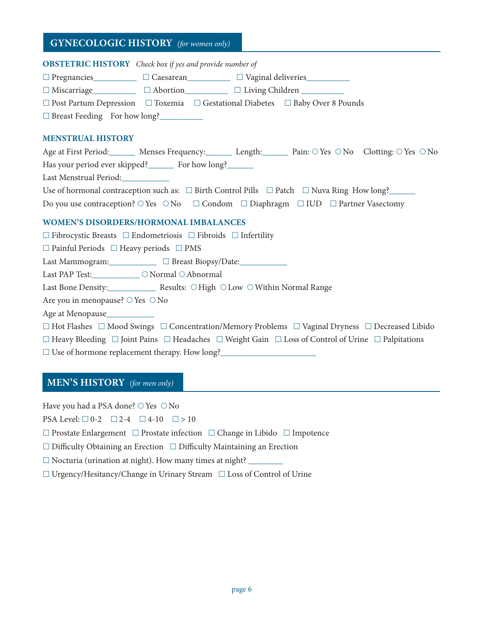## **GYNECOLOGIC HISTORY** *(for women only)*

#### **Obstetric History** *Check box if yes and provide number of*

□ Pregnancies\_\_\_\_\_\_\_\_\_\_\_ □ Caesarean\_\_\_\_\_\_\_\_\_\_ □ Vaginal deliveries\_

 $\Box$  Miscarriage\_\_\_\_\_\_\_\_\_\_\_\_  $\Box$  Abortion\_\_\_\_\_\_\_\_\_\_\_\_\_  $\Box$  Living Children \_\_\_\_\_\_\_\_

 $\square$  Post Partum Depression  $\square$  Toxemia  $\square$  Gestational Diabetes  $\square$  Baby Over 8 Pounds

□ Breast Feeding For how long?

#### **Menstrual History**

| Age at First Period: Menses Frequency: Length: Pain: $\bigcirc$ Yes $\bigcirc$ No Clotting: $\bigcirc$ Yes $\bigcirc$ No |
|--------------------------------------------------------------------------------------------------------------------------|
| Has your period ever skipped? For how long?                                                                              |
| Last Menstrual Period:                                                                                                   |
| Use of hormonal contraception such as: $\square$ Birth Control Pills $\square$ Patch $\square$ Nuva Ring How long?       |
| Do you use contraception? $\circ$ Yes $\circ$ No $\Box$ Condom $\Box$ Diaphragm $\Box$ IUD $\Box$ Partner Vasectomy      |

#### **Women's Disorders/Hormonal Imbalances**

 $\square$  Fibrocystic Breasts  $\square$  Endometriosis  $\square$  Fibroids  $\square$  Infertility

 $\Box$  Painful Periods  $\Box$  Heavy periods  $\Box$  PMS

Last Mammogram:  $\Box$  Breast Biopsy/Date:

Last PAP Test:  $\bigcirc$  Normal  $\bigcirc$  Abnormal

Last Bone Density: \_\_\_\_\_\_\_\_\_\_\_\_\_ Results:  $\bigcirc$  High  $\bigcirc$  Low  $\bigcirc$  Within Normal Range

Are you in menopause?  $\circ$  Yes  $\circ$  No

Age at Menopause\_\_\_\_\_\_\_\_\_\_\_

£  Hot Flashes £  Mood Swings £  Concentration/Memory Problems £  Vaginal Dryness £  Decreased Libido

 $\Box$  Heavy Bleeding  $\Box$  Joint Pains  $\Box$  Headaches  $\Box$  Weight Gain  $\Box$  Loss of Control of Urine  $\Box$  Palpitations

 $\square$  Use of hormone replacement therapy. How long?

#### **MEN'S HISTORY** *(for men only)*

Have you had a PSA done?  $\bigcirc$  Yes  $\bigcirc$  No

PSA Level:  $\Box 0$ -2  $\Box 2$ -4  $\Box 4$ -10  $\Box > 10$ 

 $\Box$  Prostate Enlargement  $\Box$  Prostate infection  $\Box$  Change in Libido  $\Box$  Impotence

□ Difficulty Obtaining an Erection □ Difficulty Maintaining an Erection

 $\Box$  Nocturia (urination at night). How many times at night?  $\Box$ 

£  Urgency/Hesitancy/Change in Urinary Stream £  Loss of Control of Urine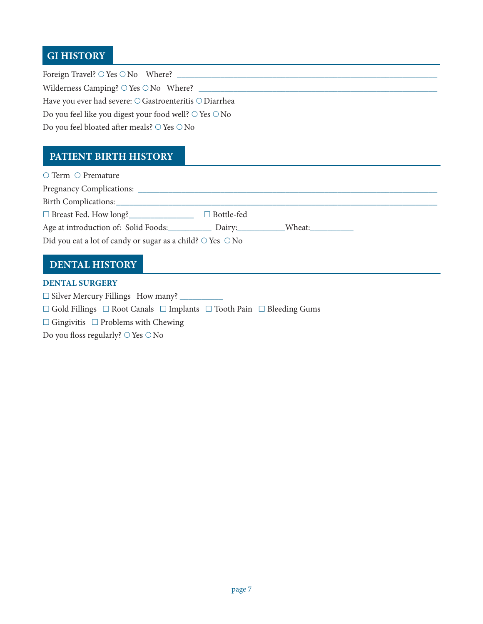# **GI HISTORY**

Foreign Travel?  $\bigcirc$  Yes  $\bigcirc$  No Where?  $\_$ Wilderness Camping?  $\bigcirc$  Yes  $\bigcirc$  No Where?  $\sqsubseteq$ Have you ever had severe:  $\bigcirc$  Gastroenteritis  $\bigcirc$  Diarrhea Do you feel like you digest your food well?  $\bigcirc$  Yes  $\bigcirc$  No Do you feel bloated after meals?  $\bigcirc$  Yes  $\bigcirc$  No

## **Patient BIRTH HISTORY**

| $\circ$ Term $\circ$ Premature                                                                                                                                                                                                 |  |
|--------------------------------------------------------------------------------------------------------------------------------------------------------------------------------------------------------------------------------|--|
|                                                                                                                                                                                                                                |  |
| Birth Complications: Note that the complication of the complication of the complication of the complication of the complication of the complication of the complication of the complication of the complication of the complic |  |
| □ Breast Fed. How long?<br>□ Bottle-fed                                                                                                                                                                                        |  |
| Age at introduction of: Solid Foods: Dairy: Wheat: Wheat:                                                                                                                                                                      |  |
| Did you eat a lot of candy or sugar as a child? $\circ$ Yes $\circ$ No                                                                                                                                                         |  |

# **DENTAL HISTORY**

#### **Dental Surgery**

£  Silver Mercury Fillings How many? \_\_\_\_\_\_\_\_\_\_

 $\Box$  Gold Fillings  $\Box$  Root Canals  $\Box$  Implants  $\Box$  Tooth Pain  $\Box$  Bleeding Gums

£  Gingivitis £  Problems with Chewing

Do you floss regularly?  $\bigcirc$  Yes  $\bigcirc$  No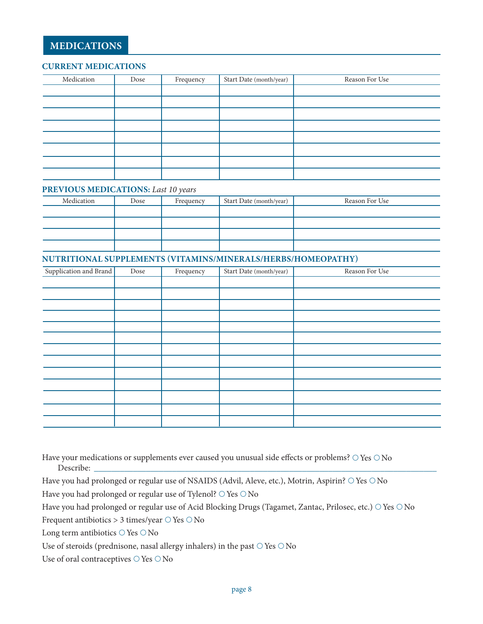#### **Current Medications**

| Medication | Dose | Frequency | Start Date (month/year) | Reason For Use |
|------------|------|-----------|-------------------------|----------------|
|            |      |           |                         |                |
|            |      |           |                         |                |
|            |      |           |                         |                |
|            |      |           |                         |                |
|            |      |           |                         |                |
|            |      |           |                         |                |
|            |      |           |                         |                |
|            |      |           |                         |                |

#### **Previous Medications:** *Last 10 years*

| Medication | Dose | Frequency | Start Date (month/year) | Reason For Use |
|------------|------|-----------|-------------------------|----------------|
|            |      |           |                         |                |
|            |      |           |                         |                |
|            |      |           |                         |                |
|            |      |           |                         |                |

#### **Nutritional Supplements (Vitamins/Minerals/Herbs/HOMEOPATHY)**

| Supplication and Brand | Dose | Frequency | Start Date (month/year) | Reason For Use |
|------------------------|------|-----------|-------------------------|----------------|
|                        |      |           |                         |                |
|                        |      |           |                         |                |
|                        |      |           |                         |                |
|                        |      |           |                         |                |
|                        |      |           |                         |                |
|                        |      |           |                         |                |
|                        |      |           |                         |                |
|                        |      |           |                         |                |
|                        |      |           |                         |                |
|                        |      |           |                         |                |
|                        |      |           |                         |                |
|                        |      |           |                         |                |
|                        |      |           |                         |                |

Have your medications or supplements ever caused you unusual side effects or problems?  $\bigcirc$  Yes  $\bigcirc$  No Describe: \_\_\_\_\_\_\_\_\_\_\_\_\_\_\_\_\_\_\_\_\_\_\_\_\_\_\_\_\_\_\_\_\_\_\_\_\_\_\_\_\_\_\_\_\_\_\_\_\_\_\_\_\_\_\_\_\_\_\_\_\_\_\_\_\_\_\_\_\_\_\_\_\_\_\_\_\_\_\_

Have you had prolonged or regular use of NSAIDS (Advil, Aleve, etc.), Motrin, Aspirin?  $\circ$  Yes  $\circ$  No

Have you had prolonged or regular use of Tylenol?  $\bigcirc$  Yes  $\bigcirc$  No

Have you had prolonged or regular use of Acid Blocking Drugs (Tagamet, Zantac, Prilosec, etc.) O Yes O No

Frequent antibiotics  $> 3$  times/year  $\bigcirc$  Yes  $\bigcirc$  No

Long term antibiotics  $\bigcirc$  Yes  $\bigcirc$  No

Use of steroids (prednisone, nasal allergy inhalers) in the past  $\bigcirc$  Yes  $\bigcirc$  No

Use of oral contraceptives  $\bigcirc$  Yes  $\bigcirc$  No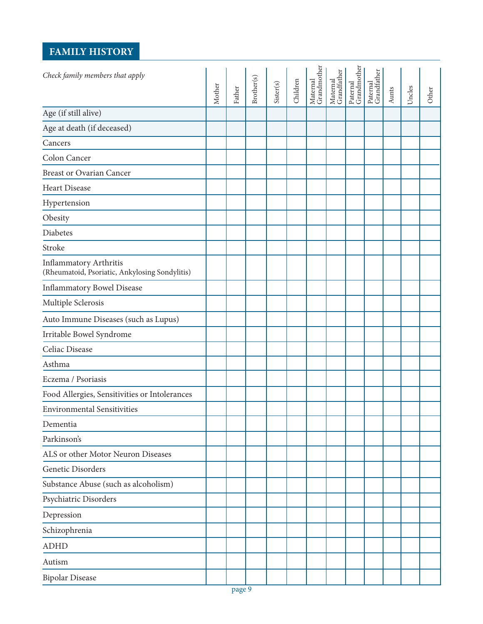# **FAMILY HISTORY**

| Check family members that apply                                                 | Mother | Father | Brother(s) | Sister(s) | Children | Maternal<br>Grandmother | Maternal<br>Grandfather | Paternal<br>Grandmother | Paternal<br>Grandfather | Aunts | Uncles | Other |
|---------------------------------------------------------------------------------|--------|--------|------------|-----------|----------|-------------------------|-------------------------|-------------------------|-------------------------|-------|--------|-------|
| Age (if still alive)                                                            |        |        |            |           |          |                         |                         |                         |                         |       |        |       |
| Age at death (if deceased)                                                      |        |        |            |           |          |                         |                         |                         |                         |       |        |       |
| Cancers                                                                         |        |        |            |           |          |                         |                         |                         |                         |       |        |       |
| Colon Cancer                                                                    |        |        |            |           |          |                         |                         |                         |                         |       |        |       |
| <b>Breast or Ovarian Cancer</b>                                                 |        |        |            |           |          |                         |                         |                         |                         |       |        |       |
| <b>Heart Disease</b>                                                            |        |        |            |           |          |                         |                         |                         |                         |       |        |       |
| Hypertension                                                                    |        |        |            |           |          |                         |                         |                         |                         |       |        |       |
| Obesity                                                                         |        |        |            |           |          |                         |                         |                         |                         |       |        |       |
| Diabetes                                                                        |        |        |            |           |          |                         |                         |                         |                         |       |        |       |
| Stroke                                                                          |        |        |            |           |          |                         |                         |                         |                         |       |        |       |
| <b>Inflammatory Arthritis</b><br>(Rheumatoid, Psoriatic, Ankylosing Sondylitis) |        |        |            |           |          |                         |                         |                         |                         |       |        |       |
| <b>Inflammatory Bowel Disease</b>                                               |        |        |            |           |          |                         |                         |                         |                         |       |        |       |
| Multiple Sclerosis                                                              |        |        |            |           |          |                         |                         |                         |                         |       |        |       |
| Auto Immune Diseases (such as Lupus)                                            |        |        |            |           |          |                         |                         |                         |                         |       |        |       |
| Irritable Bowel Syndrome                                                        |        |        |            |           |          |                         |                         |                         |                         |       |        |       |
| Celiac Disease                                                                  |        |        |            |           |          |                         |                         |                         |                         |       |        |       |
| Asthma                                                                          |        |        |            |           |          |                         |                         |                         |                         |       |        |       |
| Eczema / Psoriasis                                                              |        |        |            |           |          |                         |                         |                         |                         |       |        |       |
| Food Allergies, Sensitivities or Intolerances                                   |        |        |            |           |          |                         |                         |                         |                         |       |        |       |
| <b>Environmental Sensitivities</b>                                              |        |        |            |           |          |                         |                         |                         |                         |       |        |       |
| Dementia                                                                        |        |        |            |           |          |                         |                         |                         |                         |       |        |       |
| Parkinson's                                                                     |        |        |            |           |          |                         |                         |                         |                         |       |        |       |
| ALS or other Motor Neuron Diseases                                              |        |        |            |           |          |                         |                         |                         |                         |       |        |       |
| <b>Genetic Disorders</b>                                                        |        |        |            |           |          |                         |                         |                         |                         |       |        |       |
| Substance Abuse (such as alcoholism)                                            |        |        |            |           |          |                         |                         |                         |                         |       |        |       |
| Psychiatric Disorders                                                           |        |        |            |           |          |                         |                         |                         |                         |       |        |       |
| Depression                                                                      |        |        |            |           |          |                         |                         |                         |                         |       |        |       |
| Schizophrenia                                                                   |        |        |            |           |          |                         |                         |                         |                         |       |        |       |
| <b>ADHD</b>                                                                     |        |        |            |           |          |                         |                         |                         |                         |       |        |       |
| Autism                                                                          |        |        |            |           |          |                         |                         |                         |                         |       |        |       |
| <b>Bipolar Disease</b>                                                          |        |        |            |           |          |                         |                         |                         |                         |       |        |       |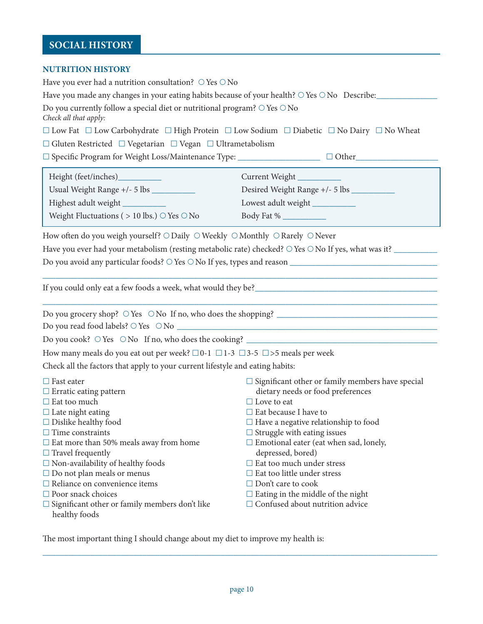# **SOCIAL HISTORY**

#### **NUTRITION HISTORY**

| NU IMITON HIUTONI                                                                                              |                                                                                                                                                                                        |
|----------------------------------------------------------------------------------------------------------------|----------------------------------------------------------------------------------------------------------------------------------------------------------------------------------------|
| Have you ever had a nutrition consultation? $\circ$ Yes $\circ$ No                                             |                                                                                                                                                                                        |
| Have you made any changes in your eating habits because of your health? $\circ$ Yes $\circ$ No Describe:       |                                                                                                                                                                                        |
| Do you currently follow a special diet or nutritional program? $\circ$ Yes $\circ$ No<br>Check all that apply: |                                                                                                                                                                                        |
|                                                                                                                | $\Box$ Low Fat $\Box$ Low Carbohydrate $\Box$ High Protein $\Box$ Low Sodium $\Box$ Diabetic $\Box$ No Dairy $\Box$ No Wheat                                                           |
| $\Box$ Gluten Restricted $\Box$ Vegetarian $\Box$ Vegan $\Box$ Ultrametabolism                                 |                                                                                                                                                                                        |
|                                                                                                                | □ Specific Program for Weight Loss/Maintenance Type: __________________________ □ Other________________________                                                                        |
|                                                                                                                |                                                                                                                                                                                        |
|                                                                                                                | Current Weight                                                                                                                                                                         |
|                                                                                                                |                                                                                                                                                                                        |
| Highest adult weight                                                                                           | Lowest adult weight                                                                                                                                                                    |
| Weight Fluctuations ( $> 10$ lbs.) $\circ$ Yes $\circ$ No                                                      |                                                                                                                                                                                        |
|                                                                                                                |                                                                                                                                                                                        |
| How often do you weigh yourself? ○ Daily ○ Weekly ○ Monthly ○ Rarely ○ Never                                   |                                                                                                                                                                                        |
|                                                                                                                | Have you ever had your metabolism (resting metabolic rate) checked? $\circ$ Yes $\circ$ No If yes, what was it?                                                                        |
|                                                                                                                |                                                                                                                                                                                        |
|                                                                                                                |                                                                                                                                                                                        |
|                                                                                                                | <u> 1980 - Johann John Stoff, deutscher Stoff, der Stoff, der Stoff, der Stoff, der Stoff, der Stoff, der Stoff, </u>                                                                  |
|                                                                                                                | If you could only eat a few foods a week, what would they be?<br><u>Letting the substitute of the substitute of the substitute of the substitute of the substitute of the substitu</u> |
|                                                                                                                | <u> 1989 - Johann Stoff, amerikansk politiker (d. 1989)</u>                                                                                                                            |
|                                                                                                                |                                                                                                                                                                                        |
|                                                                                                                |                                                                                                                                                                                        |
|                                                                                                                | Do you cook? $\circ$ Yes $\circ$ No If no, who does the cooking?                                                                                                                       |
| How many meals do you eat out per week? $\Box 0$ -1 $\Box$ 1-3 $\Box$ 3-5 $\Box$ >5 meals per week             |                                                                                                                                                                                        |
| Check all the factors that apply to your current lifestyle and eating habits:                                  |                                                                                                                                                                                        |
|                                                                                                                |                                                                                                                                                                                        |
| $\Box$ Fast eater                                                                                              | $\Box$ Significant other or family members have special                                                                                                                                |
| $\Box$ Erratic eating pattern                                                                                  | dietary needs or food preferences                                                                                                                                                      |
| $\Box$ Eat too much                                                                                            | $\Box$ Love to eat                                                                                                                                                                     |
| $\Box$ Late night eating<br>$\Box$ Dislike healthy food                                                        | $\Box$<br>Eat because I have to                                                                                                                                                        |
| $\Box$ Time constraints                                                                                        | $\Box$ Have a negative relationship to food<br>$\Box$ Struggle with eating issues                                                                                                      |
| $\Box$ Eat more than 50% meals away from home                                                                  | $\Box$ Emotional eater (eat when sad, lonely,                                                                                                                                          |
| $\Box$ Travel frequently                                                                                       | depressed, bored)                                                                                                                                                                      |
| $\Box$ Non-availability of healthy foods                                                                       | $\Box$ Eat too much under stress                                                                                                                                                       |
| $\square$ Do not plan meals or menus                                                                           | $\Box$ Eat too little under stress                                                                                                                                                     |
| $\Box$ Reliance on convenience items                                                                           | $\Box$ Don't care to cook                                                                                                                                                              |
| $\Box$ Poor snack choices                                                                                      | $\Box$ Eating in the middle of the night                                                                                                                                               |
| $\Box$ Significant other or family members don't like                                                          | $\Box$ Confused about nutrition advice                                                                                                                                                 |
| healthy foods                                                                                                  |                                                                                                                                                                                        |

The most important thing I should change about my diet to improve my health is:

\_\_\_\_\_\_\_\_\_\_\_\_\_\_\_\_\_\_\_\_\_\_\_\_\_\_\_\_\_\_\_\_\_\_\_\_\_\_\_\_\_\_\_\_\_\_\_\_\_\_\_\_\_\_\_\_\_\_\_\_\_\_\_\_\_\_\_\_\_\_\_\_\_\_\_\_\_\_\_\_\_\_\_\_\_\_\_\_\_\_\_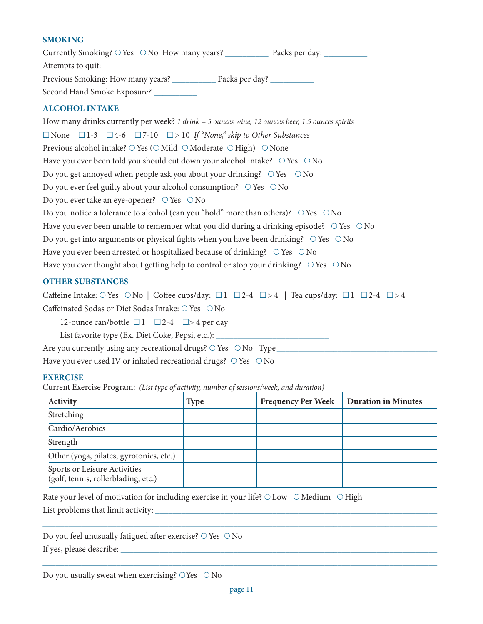#### **Smoking**

Currently Smoking? Yes No How many years? \_\_\_\_\_\_\_\_\_\_ Packs per day: \_\_\_\_\_\_\_\_\_\_ Attempts to quit: \_\_\_\_\_\_\_\_\_\_ Previous Smoking: How many years? Packs per day? SecondHand Smoke Exposure? \_\_\_\_\_\_\_\_\_\_

#### **Alcohol Intake**

How many drinks currently per week? *1 drink = 5 ounces wine, 12 ounces beer, 1.5 ounces spirits* £None £1-3 £4-6 £7-10 £> 10 *If "None," skip to Other Substances* Previous alcohol intake?  $\bigcirc$  Yes ( $\bigcirc$  Mild  $\bigcirc$  Moderate  $\bigcirc$  High)  $\bigcirc$  None Have you ever been told you should cut down your alcohol intake?  $\circ$  Yes  $\circ$  No Do you get annoved when people ask you about your drinking?  $\bigcirc$  Yes  $\bigcirc$  No Do you ever feel guilty about your alcohol consumption?  $\circ$  Yes  $\circ$  No Do you ever take an eye-opener?  $\circ$  Yes  $\circ$  No Do you notice a tolerance to alcohol (can you "hold" more than others)?  $\bigcirc$  Yes  $\bigcirc$  No Have you ever been unable to remember what you did during a drinking episode?  $\circ$  Yes  $\circ$  No Do you get into arguments or physical fights when you have been drinking?  $\circ$  Yes  $\circ$  No Have you ever been arrested or hospitalized because of drinking?  $\circ$  Yes  $\circ$  No Have you ever thought about getting help to control or stop your drinking?  $\circ$  Yes  $\circ$  No

#### **Other substances**

Caffeine Intake: O Yes O No | Coffee cups/day:  $\Box$ 1  $\Box$ 2-4  $\Box$ >4 | Tea cups/day:  $\Box$ 1  $\Box$ 2-4  $\Box$ >4 Caffeinated Sodas or Diet Sodas Intake:  $\bigcirc$  Yes  $\bigcirc$  No

12-ounce can/bottle  $\Box$  1  $\Box$  2-4  $\Box$  > 4 per day

List favorite type (Ex. Diet Coke, Pepsi, etc.): \_\_\_\_\_\_\_\_\_\_\_\_\_\_\_\_\_\_\_\_\_\_\_\_\_\_\_\_\_\_\_

Are you currently using any recreational drugs?  $\bigcirc$  Yes  $\bigcirc$  No Type

Have you ever used IV or inhaled recreational drugs?  $\bigcirc$  Yes  $\bigcirc$  No

#### **Exercise**

Current Exercise Program: *(List type of activity, number of sessions/week, and duration)*

| <b>Activity</b>                                                     | <b>Type</b> | <b>Frequency Per Week</b> | <b>Duration in Minutes</b> |
|---------------------------------------------------------------------|-------------|---------------------------|----------------------------|
| Stretching                                                          |             |                           |                            |
| Cardio/Aerobics                                                     |             |                           |                            |
| Strength                                                            |             |                           |                            |
| Other (yoga, pilates, gyrotonics, etc.)                             |             |                           |                            |
| Sports or Leisure Activities<br>(golf, tennis, rollerblading, etc.) |             |                           |                            |

Rate your level of motivation for including exercise in your life?  $\bigcirc$  Low  $\bigcirc$  Medium  $\bigcirc$  High

List problems that limit activity: \_\_\_\_\_\_\_\_\_\_\_\_\_\_\_\_\_\_\_\_\_\_\_\_\_\_\_\_\_\_\_\_\_\_\_\_\_\_\_\_\_\_\_\_\_\_\_\_\_\_\_\_\_\_\_\_\_\_\_\_\_\_\_\_\_

|  |  |  | Do you feel unusually fatigued after exercise? $\bigcirc$ Yes $\bigcirc$ No |  |  |
|--|--|--|-----------------------------------------------------------------------------|--|--|
|  |  |  |                                                                             |  |  |

If yes, please describe: \_\_\_\_\_\_\_\_\_\_\_\_\_\_\_\_\_\_\_\_\_\_\_\_\_\_\_\_\_\_\_\_\_\_\_\_\_\_\_\_\_\_\_\_\_\_\_\_\_\_\_\_\_\_\_\_\_\_\_\_\_\_\_\_\_\_\_\_\_\_\_\_\_

\_\_\_\_\_\_\_\_\_\_\_\_\_\_\_\_\_\_\_\_\_\_\_\_\_\_\_\_\_\_\_\_\_\_\_\_\_\_\_\_\_\_\_\_\_\_\_\_\_\_\_\_\_\_\_\_\_\_\_\_\_\_\_\_\_\_\_\_\_\_\_\_\_\_\_\_\_\_\_\_\_\_\_\_\_\_\_\_\_\_\_

\_\_\_\_\_\_\_\_\_\_\_\_\_\_\_\_\_\_\_\_\_\_\_\_\_\_\_\_\_\_\_\_\_\_\_\_\_\_\_\_\_\_\_\_\_\_\_\_\_\_\_\_\_\_\_\_\_\_\_\_\_\_\_\_\_\_\_\_\_\_\_\_\_\_\_\_\_\_\_\_\_\_\_\_\_\_\_\_\_\_\_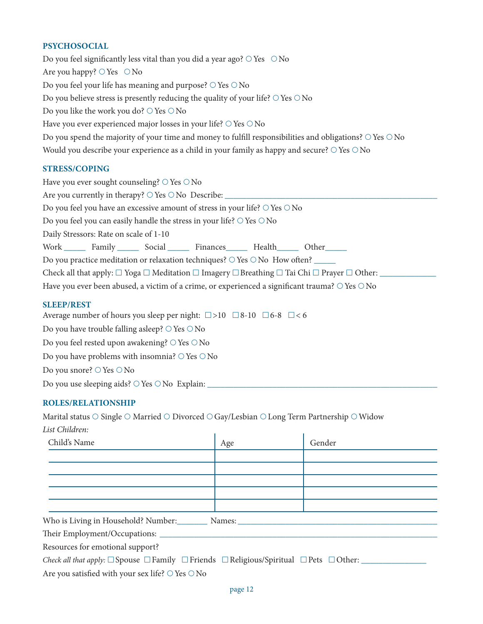#### **Psychosocial**

Do you feel significantly less vital than you did a year ago?  $\circ$  Yes  $\circ$  No Are you happy?  $\bigcirc$  Yes  $\bigcirc$  No Do you feel your life has meaning and purpose?  $\bigcirc$  Yes  $\bigcirc$  No Do you believe stress is presently reducing the quality of your life?  $\bigcirc$  Yes  $\bigcirc$  No Do you like the work you do?  $\circ$  Yes  $\circ$  No Have you ever experienced major losses in your life?  $\circ$  Yes  $\circ$  No Do you spend the majority of your time and money to fulfill responsibilities and obligations?  $\circ$  Yes  $\circ$  No Would you describe your experience as a child in your family as happy and secure?  $\bigcirc$  Yes  $\bigcirc$  No

#### **Stress/Coping**

| Have you ever sought counseling? $\bigcirc$ Yes $\bigcirc$ No                                                                       |  |  |  |  |  |
|-------------------------------------------------------------------------------------------------------------------------------------|--|--|--|--|--|
|                                                                                                                                     |  |  |  |  |  |
| Do you feel you have an excessive amount of stress in your life? $\bigcirc$ Yes $\bigcirc$ No                                       |  |  |  |  |  |
| Do you feel you can easily handle the stress in your life? $\bigcirc$ Yes $\bigcirc$ No                                             |  |  |  |  |  |
| Daily Stressors: Rate on scale of 1-10                                                                                              |  |  |  |  |  |
| Work Family Social Finances Health Other                                                                                            |  |  |  |  |  |
| Do you practice meditation or relaxation techniques? $\circ$ Yes $\circ$ No How often?                                              |  |  |  |  |  |
| Check all that apply: $\Box$ Yoga $\Box$ Meditation $\Box$ Imagery $\Box$ Breathing $\Box$ Tai Chi $\Box$ Prayer $\Box$ Other: ____ |  |  |  |  |  |
| Have you ever been abused, a victim of a crime, or experienced a significant trauma? $\circ$ Yes $\circ$ No                         |  |  |  |  |  |
|                                                                                                                                     |  |  |  |  |  |

#### **Sleep/Rest**

Average number of hours you sleep per night:  $\square > 10$   $\square$ 8-10  $\square$ 6-8  $\square < 6$ 

Do you have trouble falling asleep?  $\bigcirc$  Yes  $\bigcirc$  No

Do you feel rested upon awakening?  $\bigcirc$  Yes  $\bigcirc$  No

Do you have problems with insomnia?  $\bigcirc$  Yes  $\bigcirc$  No

Do you snore?  $\bigcirc$  Yes  $\bigcirc$  No

Do you use sleeping aids?  $\bigcirc$  Yes  $\bigcirc$  No Explain:

#### **Roles/Relationship**

Marital status  $\bigcirc$  Single  $\bigcirc$  Married  $\bigcirc$  Divorced  $\bigcirc$  Gay/Lesbian  $\bigcirc$  Long Term Partnership  $\bigcirc$  Widow *List Children:*

| Child's Name                                      | Age | Gender |  |  |  |
|---------------------------------------------------|-----|--------|--|--|--|
|                                                   |     |        |  |  |  |
|                                                   |     |        |  |  |  |
|                                                   |     |        |  |  |  |
|                                                   |     |        |  |  |  |
|                                                   |     |        |  |  |  |
| Who is Living in Household? Number: Names: Names: |     |        |  |  |  |
|                                                   |     |        |  |  |  |
| Resources for emotional support?                  |     |        |  |  |  |
|                                                   |     |        |  |  |  |

Are you satisfied with your sex life?  $\bigcirc$  Yes  $\bigcirc$  No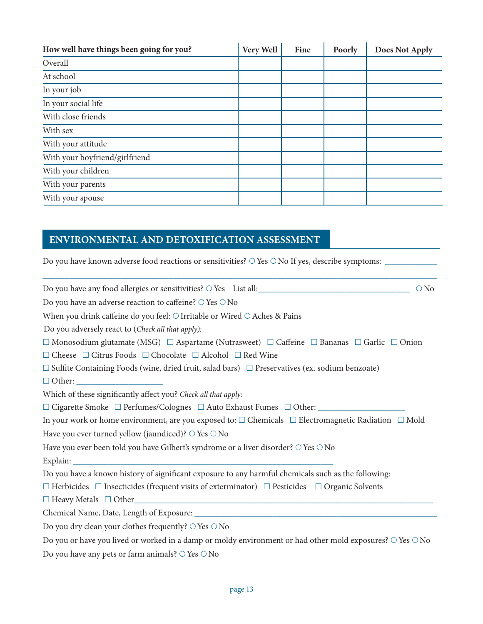| How well have things been going for you? | Very Well | Fine | Poorly | <b>Does Not Apply</b> |
|------------------------------------------|-----------|------|--------|-----------------------|
| Overall                                  |           |      |        |                       |
| At school                                |           |      |        |                       |
| In your job                              |           |      |        |                       |
| In your social life                      |           |      |        |                       |
| With close friends                       |           |      |        |                       |
| With sex                                 |           |      |        |                       |
| With your attitude                       |           |      |        |                       |
| With your boyfriend/girlfriend           |           |      |        |                       |
| With your children                       |           |      |        |                       |
| With your parents                        |           |      |        |                       |
| With your spouse                         |           |      |        |                       |

# **ENVIRONMENTAL AND DETOXIFICATION ASSESSMENT**

Do you have known adverse food reactions or sensitivities? Yes No If yes, describe symptoms: \_\_\_\_\_\_\_\_\_\_\_\_

| Do you have any food allergies or sensitivities? $\circ$ Yes List all:<br>$\bigcirc$ No                                   |
|---------------------------------------------------------------------------------------------------------------------------|
| Do you have an adverse reaction to caffeine? $\circ$ Yes $\circ$ No                                                       |
| When you drink caffeine do you feel: $\bigcirc$ Irritable or Wired $\bigcirc$ Aches & Pains                               |
| Do you adversely react to (Check all that apply):                                                                         |
| $\Box$ Monosodium glutamate (MSG) $\Box$ Aspartame (Nutrasweet) $\Box$ Caffeine $\Box$ Bananas $\Box$ Garlic $\Box$ Onion |
| $\Box$ Cheese $\Box$ Citrus Foods $\Box$ Chocolate $\Box$ Alcohol $\Box$ Red Wine                                         |
| $\Box$ Sulfite Containing Foods (wine, dried fruit, salad bars) $\Box$ Preservatives (ex. sodium benzoate)                |
| $\Box$ Other:                                                                                                             |
| Which of these significantly affect you? Check all that apply:                                                            |
| $\Box$ Cigarette Smoke $\Box$ Perfumes/Colognes $\Box$ Auto Exhaust Fumes $\Box$ Other:                                   |
| In your work or home environment, are you exposed to: $\Box$ Chemicals $\Box$ Electromagnetic Radiation $\Box$ Mold       |
| Have you ever turned yellow (jaundiced)? $\circ$ Yes $\circ$ No                                                           |
| Have you ever been told you have Gilbert's syndrome or a liver disorder? O Yes O No                                       |
|                                                                                                                           |
| Do you have a known history of significant exposure to any harmful chemicals such as the following:                       |
| $\Box$ Herbicides $\Box$ Insecticides (frequent visits of exterminator) $\Box$ Pesticides $\Box$ Organic Solvents         |
| $\Box$ Heavy Metals $\Box$ Other                                                                                          |
|                                                                                                                           |
| Do you dry clean your clothes frequently? $\circ$ Yes $\circ$ No                                                          |
| Do you or have you lived or worked in a damp or moldy environment or had other mold exposures? $\circ$ Yes $\circ$ No     |
| Do you have any pets or farm animals? $\circ$ Yes $\circ$ No                                                              |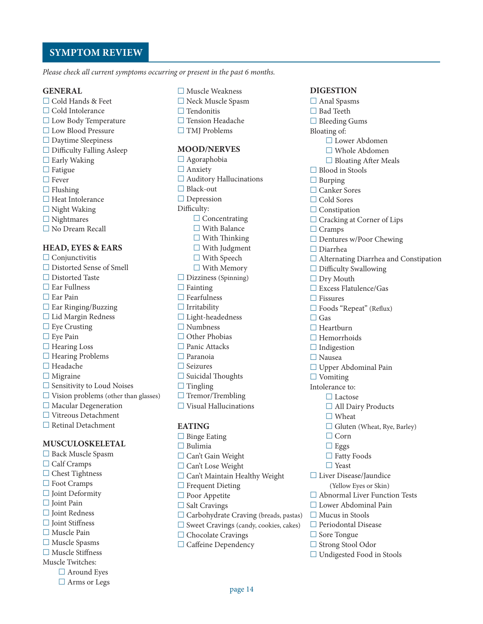### **SYMPTOM REVIEW**

*Please check all current symptoms occurring or present in the past 6 months.*

#### **GENERAL**

- £  Cold Hands & Feet £  Cold Intolerance £  Low Body Temperature £  Low Blood Pressure £  Daytime Sleepiness
- £  Difficulty Falling Asleep
- □ Early Waking
- □ Fatigue
- □ Fever
- 
- £  Heat Intolerance
- £  Night Waking
- 

#### **HEAD, EYES & EARS**

- □ Conjunctivitis £  Distorted Sense of Smell £  Distorted Taste £  Ear Fullness £  Ear Pain £  Ear Ringing/Buzzing £  Lid Margin Redness □ Eye Crusting □ Eye Pain  $\Box$  <br> Hearing Loss £  Hearing Problems £  Headache □ Migraine £  Sensitivity to Loud Noises £  Vision problems (other than glasses) □ Macular Degeneration £  Vitreous Detachment £  Retinal Detachment **MUSCULOSKELETAL**
- £  Back Muscle Spasm □ Calf Cramps
- □ Chest Tightness
- 
- 
- £  Joint Pain
- 
- 
- 
- 
- 
- 
- -
- 
- 
- 
- 
- 
- £  Flushing
- 
- £  Nightmares
- £  No Dream Recall
	-

- 
- £  Foot Cramps £  Joint Deformity
- $\Box$  Joint Redness
- £  Joint Stiffness
- £  Muscle Pain
- £  Muscle Spasms
- £  Muscle Stiffness
- Muscle Twitches:
	- □ Around Eyes
	- □ Arms or Legs
- £  Muscle Weakness
- £  Neck Muscle Spasm £  Tendonitis
	-
- £  Tension Headache □ TMJ Problems
- **MOOD/NERVES**

£  Agoraphobia □ Anxiety £  Auditory Hallucinations □ Black-out □ Depression Difficulty: □ Concentrating  $\Box$  <br> With Balance £  With Thinking □ With Judgment £  With Speech £  With Memory £  Dizziness (Spinning) £  Fainting £  Fearfulness £  Irritability £  Light-headedness £  Numbness □ Other Phobias £  Panic Attacks £  Paranoia £  Seizures £  Suicidal Thoughts □ Tingling □ Tremor/Trembling □ Visual Hallucinations

#### **EATING**

□ Binge Eating £  Bulimia £  Can't Gain Weight £  Can't Lose Weight £  Can't Maintain Healthy Weight □ Frequent Dieting □ Poor Appetite □ Salt Cravings £  Carbohydrate Craving (breads, pastas) £  Sweet Cravings (candy, cookies, cakes) □ Chocolate Cravings □ Caffeine Dependency

#### **DIGESTION**

- □ Anal Spasms □ Bad Teeth £  Bleeding Gums Bloating of: £  Lower Abdomen £  Whole Abdomen □ Bloating After Meals £  Blood in Stools □ Burping £  Canker Sores £  Cold Sores □ Constipation □ Cracking at Corner of Lips □ Cramps £  Dentures w/Poor Chewing £  Diarrhea £  Alternating Diarrhea and Constipation £  Difficulty Swallowing □ Dry Mouth  $\Box$ <br> Excess Flatulence/Gas £  Fissures £  Foods "Repeat" (Reflux) £  Gas □ Heartburn £  Hemorrhoids □ Indigestion £  Nausea £  Upper Abdominal Pain £  Vomiting Intolerance to: £  Lactose □ All Dairy Products □ Wheat □ Gluten (Wheat, Rye, Barley) £  Corn £  Eggs £  Fatty Foods £  Yeast £  Liver Disease/Jaundice (Yellow Eyes or Skin) £  Abnormal Liver Function Tests £  Lower Abdominal Pain £  Mucus in Stools £  Periodontal Disease £  Sore Tongue £  Strong Stool Odor £  Undigested Food in Stools
- page 14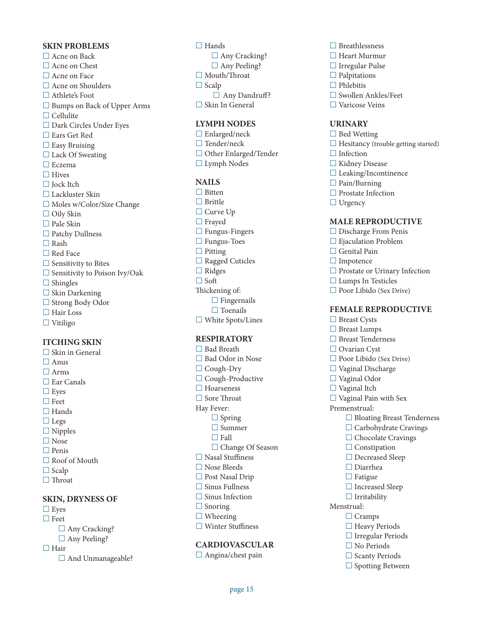#### **SKIN PRO BLEM S**

□ Acne on Back □ Acne on Chest □ Acne on Face □ Acne on Shoulders £  Athlete's Foot £  Bumps on Back of Upper Arms £  Cellulite £  Dark Circles Under Eyes £  Ears Get Red □ Easy Bruising □ Lack Of Sweating £  Eczema □ Hives □ **Jock Itch** £  Lackluster Skin £  Moles w/Color/Size Change £  Oily Skin £  Pale Skin £  Patchy Dullness £  Rash □ Red Face □ Sensitivity to Bites £  Sensitivity to Poison Ivy/Oak £  Shingles □ Skin Darkening £  Strong Body Odor £  Hair Loss £  Vitiligo

#### **ITCHING SKIN**

□ Skin in General £  Anus £  Arms £  Ear Canals £  Eyes £  Feet £  Hands £  Legs £  Nipples £  Nose £  Penis □ Roof of Mouth □ Scalp □ Throat **SKIN, DRYNESS O** 

# £  Eyes £  Feet

- □ Any Cracking?
- □ Any Peeling?

#### □ Hair

□ And Unmanageable?

□ Hands □ Any Cracking? □ Any Peeling? □ Mouth/Throat □ Scalp □ Any Dandruff? £  Skin In General

#### **LYMPH NODES**

£  Enlarged/neck □ Tender/neck £  Other Enlarged/Tender £  Lymph Nodes

#### **NAIL S**

- □ Bitten £  Brittle £  Curve Up £  Frayed □ Fungus-Fingers £  Fungus-Toes □ Pitting £  Ragged Cuticles £  Ridges £  Soft Thickening of: £  Fingernails
- □ Toenails £  White Spots/Lines

#### **RESPIRATORY**

£  Bad Breath £  Bad Odor in Nose £  Cough-Dry £  Cough-Productive □ Hoarseness £  Sore Throat Hay Fever: £  Spring £  Summer £  Fall □ Change Of Season £  Nasal Stuffiness £  Nose Bleeds £  Post Nasal Drip £  Sinus Fullness □ Sinus Infection □ Snoring □ Wheezing £  Winter Stuffiness

#### **CARDIOVASCULAR**

£  Angina/chest pain

- £  Breathlessness £  Heart Murmur £  Irregular Pulse □ Palpitations £  Phlebitis
- £  Swollen Ankles/Feet
- £  Varicose Veins

#### **URINARY**

- £  Bed Wetting  $\Box$  Hesitancy (trouble getting started) □ Infection £  Kidney Disease £  Leaking/Incontinence £  Pain/Burning □ Prostate Infection
- □ Urgency

#### **MALE RE PRODUCTI V E**

- £  Discharge From Penis
- £  Ejaculation Problem
- £  Genital Pain
- £  Impotence
- £  Prostate or Urinary Infection
- £  Lumps In Testicles
- £  Poor Libido (Sex Drive)

#### **FEMALE** REPRODUCTIVE

£  Breast Cysts £  Breast Lumps £  Breast Tenderness £  Ovarian Cyst £  Poor Libido (Sex Drive) £  Vaginal Discharge £  Vaginal Odor £  Vaginal Itch £  Vaginal Pain with Sex Premenstrual: £  Bloating Breast Tenderness £  Carbohydrate Cravings □ Chocolate Cravings □ Constipation □ Decreased Sleep £  Diarrhea □ Fatigue □ Increased Sleep £  Irritability Menstrual: £  Cramps £  Heavy Periods £  Irregular Periods £  No Periods £  Scanty Periods □ Spotting Between